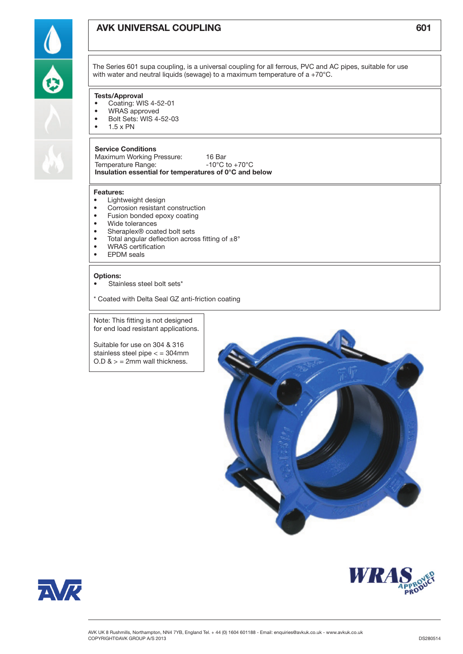# AVK UNIVERSAL COUPLING FOR THE RESERVE THAT THE RESERVE THAT IS NOT THE RESERVE THAT A SO THAT IS NOT THE RESERVE THAT THE RESERVE THAT THE RESERVE THAT IS NOT THE RESERVE THAT IS NOT THE RESERVE THAT THE RESERVE THAT IS N

The Series 601 supa coupling, is a universal coupling for all ferrous, PVC and AC pipes, suitable for use with water and neutral liquids (sewage) to a maximum temperature of a +70°C.

## Tests/Approval

- Coating: WIS 4-52-01
- WRAS approved
- • Bolt Sets: WIS 4-52-03
- $\bullet$  1.5 x PN

### Service Conditions

Maximum Working Pressure: 16 Bar Temperature Range:  $-10^{\circ}$ C to +70°C Insulation essential for temperatures of 0°C and below

### Features:

- Lightweight design
- • Corrosion resistant construction
- Fusion bonded epoxy coating
- • Wide tolerances
- Sheraplex<sup>®</sup> coated bolt sets
- Total angular deflection across fitting of  $\pm 8^{\circ}$
- WRAS certification
- • EPDM seals

#### Options:

Stainless steel bolt sets\*

\* Coated with Delta Seal GZ anti-friction coating

Note: This fitting is not designed for end load resistant applications.

Suitable for use on 304 & 316 stainless steel pipe < = 304mm  $O.D 8$  > = 2mm wall thickness.